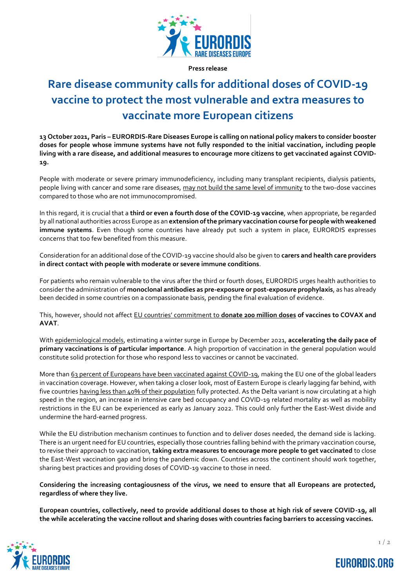

**Press release**

# **Rare disease community calls for additional doses of COVID-19 vaccine to protect the most vulnerable and extra measures to vaccinate more European citizens**

**13 October 2021, Paris – EURORDIS-Rare Diseases Europe is calling on national policy makers to consider booster doses for people whose immune systems have not fully responded to the initial vaccination, including people living with a rare disease, and additional measures to encourage more citizens to get vaccinated against COVID-19.**

People with moderate or severe primary immunodeficiency, including many transplant recipients, dialysis patients, people living with cancer and some rare diseases, [may not build the same level of immunity](https://www.cdc.gov/coronavirus/2019-ncov/science/science-briefs/fully-vaccinated-people.html) to the two-dose vaccines compared to those who are not immunocompromised.

In this regard, it is crucial that a **third or even a fourth dose of the COVID-19 vaccine**, when appropriate, be regarded by all national authorities across Europe as an **extension of the primary vaccination course for people with weakened immune systems**. Even though some countries have already put such a system in place, EURORDIS expresses concerns that too few benefited from this measure.

Consideration for an additional dose of the COVID-19 vaccine should also be given to **carers and health care providers in direct contact with people with moderate or severe immune conditions**.

For patients who remain vulnerable to the virus after the third or fourth doses, EURORDIS urges health authorities to consider the administration of **monoclonal antibodies as pre-exposure or post-exposure prophylaxis**, as has already been decided in some countries on a compassionate basis, pending the final evaluation of evidence.

This, however, should not affect [EU countries' commitment to](https://www.who.int/news/item/27-08-2021-joint-statement-of-the-multilateral-leaders-taskforce-on-scaling-covid-19-tools) **donate 200 million doses of vaccines to COVAX and AVAT**.

With [epidemiological models,](https://www.ecdc.europa.eu/en/publications-data/rapid-risk-assessment-assessing-sars-cov-2-circulation-variants-concern) estimating a winter surge in Europe by December 2021, **accelerating the daily pace of primary vaccinations is of particular importance**. A high proportion of vaccination in the general population would constitute solid protection for those who respond less to vaccines or cannot be vaccinated.

More tha[n 63 percent of Europeans have been vaccinated against COVID-19,](https://vaccinetracker.ecdc.europa.eu/public/extensions/COVID-19/vaccine-tracker.html) making the EU one of the global leaders in vaccination coverage. However, when taking a closer look, most of Eastern Europe is clearly lagging far behind, with five countries [having less than 40% of their population](https://ourworldindata.org/covid-vaccinations) fully protected. As the Delta variant is now circulating at a high speed in the region, an increase in intensive care bed occupancy and COVID-19 related mortality as well as mobility restrictions in the EU can be experienced as early as January 2022. This could only further the East-West divide and undermine the hard-earned progress.

While the EU distribution mechanism continues to function and to deliver doses needed, the demand side is lacking. There is an urgent need for EU countries, especially those countries falling behind with the primary vaccination course, to revise their approach to vaccination, **taking extra measures to encourage more people to get vaccinated** to close the East-West vaccination gap and bring the pandemic down. Countries across the continent should work together, sharing best practices and providing doses of COVID-19 vaccine to those in need.

**Considering the increasing contagiousness of the virus, we need to ensure that all Europeans are protected, regardless of where they live.**

**European countries, collectively, need to provide additional doses to those at high risk of severe COVID-19, all the while accelerating the vaccine rollout and sharing doses with countries facing barriers to accessing vaccines.**



**EURORDIS.ORG**